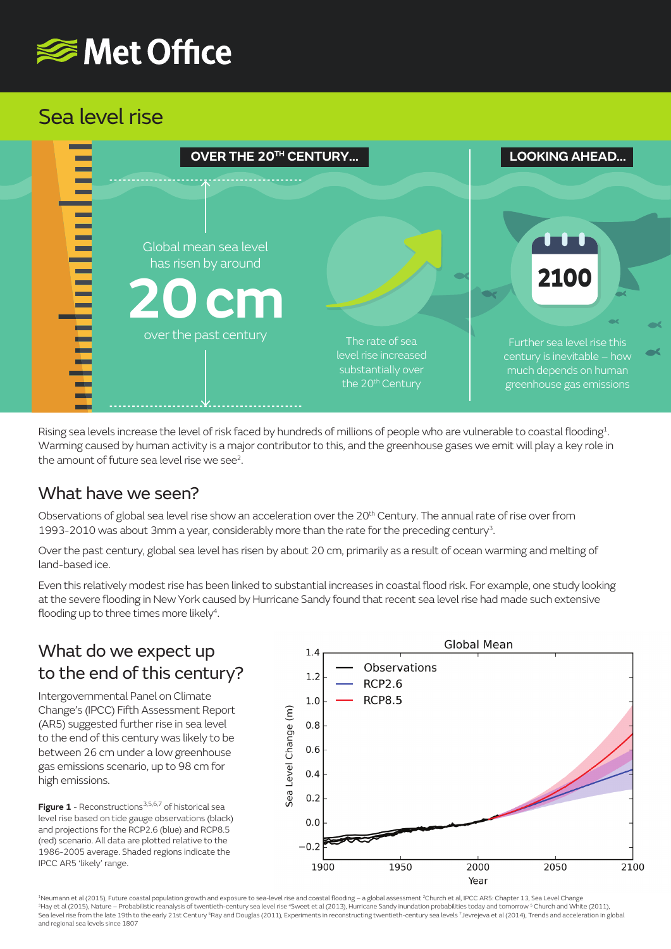# <del></del> Met Office

## Sea level rise

| OVER THE 20 <sup>TH</sup> CENTURY                                                     |                                                                                               | <b>LOOKING AHEAD</b>                                                                                                    |
|---------------------------------------------------------------------------------------|-----------------------------------------------------------------------------------------------|-------------------------------------------------------------------------------------------------------------------------|
| Global mean sea level<br>has risen by around<br><b>20 cm</b><br>over the past century | The rate of sea<br>level rise increased<br>substantially over<br>the 20 <sup>th</sup> Century | 2100<br>Further sea level rise this<br>century is inevitable - how<br>much depends on human<br>greenhouse gas emissions |

Rising sea levels increase the level of risk faced by hundreds of millions of people who are vulnerable to coastal flooding<sup>1</sup>. Warming caused by human activity is a major contributor to this, and the greenhouse gases we emit will play a key role in the amount of future sea level rise we see<sup>2</sup>.

#### What have we seen?

Observations of global sea level rise show an acceleration over the 20<sup>th</sup> Century. The annual rate of rise over from 1993-2010 was about 3mm a year, considerably more than the rate for the preceding century<sup>3</sup>.

Over the past century, global sea level has risen by about 20 cm, primarily as a result of ocean warming and melting of land-based ice.

Even this relatively modest rise has been linked to substantial increases in coastal flood risk. For example, one study looking at the severe flooding in New York caused by Hurricane Sandy found that recent sea level rise had made such extensive flooding up to three times more likely<sup>4</sup>.

### What do we expect up to the end of this century?

Intergovernmental Panel on Climate Change's (IPCC) Fifth Assessment Report (AR5) suggested further rise in sea level to the end of this century was likely to be between 26 cm under a low greenhouse gas emissions scenario, up to 98 cm for high emissions.

**Figure 1** - Reconstructions<sup>3,5,6,7</sup> of historical sea level rise based on tide gauge observations (black) and projections for the RCP2.6 (blue) and RCP8.5 (red) scenario. All data are plotted relative to the 1986-2005 average. Shaded regions indicate the IPCC AR5 'likely' range.



<sup>1</sup>Neumann et al (2015), Future coastal population growth and exposure to sea-level rise and coastal flooding – a global assessment <sup>2</sup>Church et al, IPCC AR5: Chapter 13, Sea Level Change<br><sup>3</sup>Hay et al (2015), Nature – Prob Sea level rise from the late 19th to the early 21st Century <sup>6</sup>Ray and Douglas (2011), Experiments in reconstructing twentieth-century sea levels 7Jevrejeva et al (2014), Trends and acceleration in global and regional sea levels since 1807